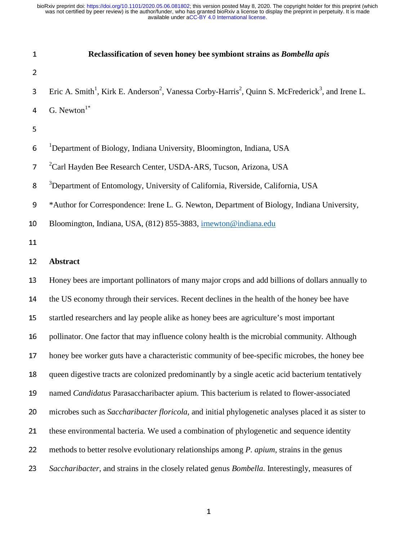| $\mathbf 1$     | Reclassification of seven honey bee symbiont strains as Bombella apis                                                                             |
|-----------------|---------------------------------------------------------------------------------------------------------------------------------------------------|
| 2               |                                                                                                                                                   |
| 3               | Eric A. Smith <sup>1</sup> , Kirk E. Anderson <sup>2</sup> , Vanessa Corby-Harris <sup>2</sup> , Quinn S. McFrederick <sup>3</sup> , and Irene L. |
| 4               | G. Newton $1*$                                                                                                                                    |
| 5               |                                                                                                                                                   |
| 6               | <sup>1</sup> Department of Biology, Indiana University, Bloomington, Indiana, USA                                                                 |
| 7               | <sup>2</sup> Carl Hayden Bee Research Center, USDA-ARS, Tucson, Arizona, USA                                                                      |
| 8               | <sup>3</sup> Department of Entomology, University of California, Riverside, California, USA                                                       |
| 9               | *Author for Correspondence: Irene L. G. Newton, Department of Biology, Indiana University,                                                        |
| 10              | Bloomington, Indiana, USA, (812) 855-3883, irnewton@indiana.edu                                                                                   |
| 11              |                                                                                                                                                   |
| 12              | <b>Abstract</b>                                                                                                                                   |
| 13              | Honey bees are important pollinators of many major crops and add billions of dollars annually to                                                  |
| 14              | the US economy through their services. Recent declines in the health of the honey bee have                                                        |
| 15              | startled researchers and lay people alike as honey bees are agriculture's most important                                                          |
| 16              | pollinator. One factor that may influence colony health is the microbial community. Although                                                      |
| 17 <sub>1</sub> | honey bee worker guts have a characteristic community of bee-specific microbes, the honey bee                                                     |
| 18              | queen digestive tracts are colonized predominantly by a single acetic acid bacterium tentatively                                                  |
| 19              | named Candidatus Parasaccharibacter apium. This bacterium is related to flower-associated                                                         |
| 20              | microbes such as Saccharibacter floricola, and initial phylogenetic analyses placed it as sister to                                               |
| 21              | these environmental bacteria. We used a combination of phylogenetic and sequence identity                                                         |
| 22              | methods to better resolve evolutionary relationships among <i>P. apium</i> , strains in the genus                                                 |
| 23              | Saccharibacter, and strains in the closely related genus Bombella. Interestingly, measures of                                                     |

1990 - Paul Barbara, Amerikaansk politiker († 1915)<br>1900 - Johann Barbara, frysk politiker († 1915)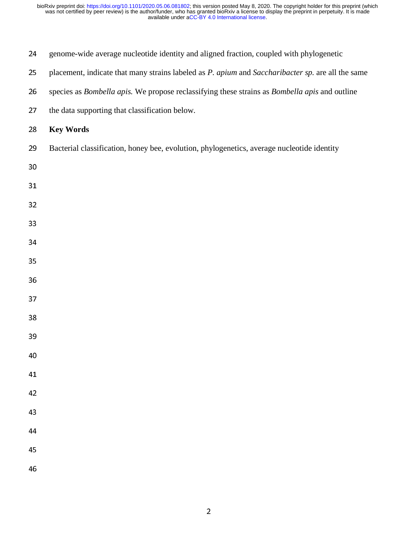| 24 | genome-wide average nucleotide identity and aligned fraction, coupled with phylogenetic           |
|----|---------------------------------------------------------------------------------------------------|
| 25 | placement, indicate that many strains labeled as P. apium and Saccharibacter sp. are all the same |
| 26 | species as Bombella apis. We propose reclassifying these strains as Bombella apis and outline     |
| 27 | the data supporting that classification below.                                                    |
| 28 | <b>Key Words</b>                                                                                  |
| 29 | Bacterial classification, honey bee, evolution, phylogenetics, average nucleotide identity        |
| 30 |                                                                                                   |
| 31 |                                                                                                   |
| 32 |                                                                                                   |
| 33 |                                                                                                   |
| 34 |                                                                                                   |
| 35 |                                                                                                   |
| 36 |                                                                                                   |
| 37 |                                                                                                   |
| 38 |                                                                                                   |
| 39 |                                                                                                   |
| 40 |                                                                                                   |
| 41 |                                                                                                   |
| 42 |                                                                                                   |
| 43 |                                                                                                   |
| 44 |                                                                                                   |
| 45 |                                                                                                   |
| 46 |                                                                                                   |
|    |                                                                                                   |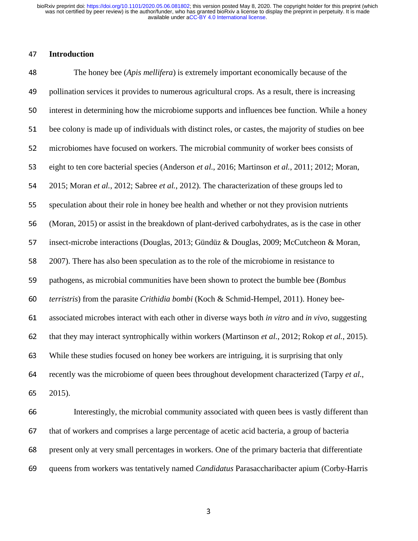### <sup>47</sup>**Introduction**

<sup>48</sup>The honey bee (*Apis mellifera*) is extremely important economically because of the 49 pollination services it provides to numerous agricultural crops. As a result, there is increasing 50 interest in determining how the microbiome supports and influences bee function. While a honey 51 bee colony is made up of individuals with distinct roles, or castes, the majority of studies on bee 52 microbiomes have focused on workers. The microbial community of worker bees consists of <sup>53</sup>eight to ten core bacterial species (Anderson *et al.*, 2016; Martinson *et al.*, 2011; 2012; Moran, <sup>54</sup>2015; Moran *et al.*, 2012; Sabree *et al.*, 2012). The characterization of these groups led to 55 speculation about their role in honey bee health and whether or not they provision nutrients <sup>56</sup>(Moran, 2015) or assist in the breakdown of plant-derived carbohydrates, as is the case in other 57 insect-microbe interactions (Douglas, 2013; Gündüz & Douglas, 2009; McCutcheon & Moran, 58 2007). There has also been speculation as to the role of the microbiome in resistance to 59 pathogens, as microbial communities have been shown to protect the bumble bee (*Bombus* 60 *terristris*) from the parasite *Crithidia bombi* (Koch & Schmid-Hempel, 2011). Honey bee-<sup>61</sup>associated microbes interact with each other in diverse ways both *in vitro* and *in vivo*, suggesting 62 that they may interact syntrophically within workers (Martinson *et al.*, 2012; Rokop *et al.*, 2015). <sup>63</sup>While these studies focused on honey bee workers are intriguing, it is surprising that only 64 recently was the microbiome of queen bees throughout development characterized (Tarpy *et al.*, <sup>65</sup>2015). 66 Interestingly, the microbial community associated with queen bees is vastly different than 67 that of workers and comprises a large percentage of acetic acid bacteria, a group of bacteria

68 present only at very small percentages in workers. One of the primary bacteria that differentiate

<sup>69</sup>queens from workers was tentatively named *Candidatus* Parasaccharibacter apium (Corby-Harris

and the state of the state of the state of the state of the state of the state of the state of the state of th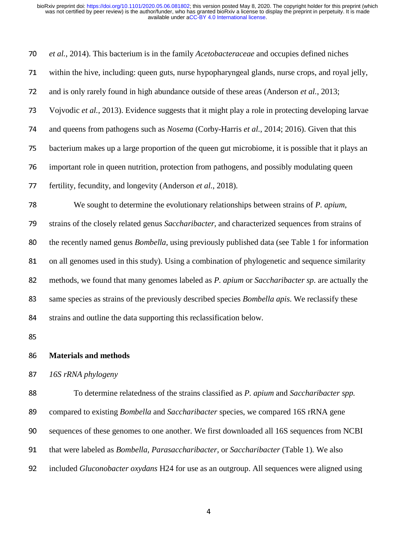| 70 | et al., 2014). This bacterium is in the family <i>Acetobacteraceae</i> and occupies defined niches      |
|----|---------------------------------------------------------------------------------------------------------|
| 71 | within the hive, including: queen guts, nurse hypopharyngeal glands, nurse crops, and royal jelly,      |
| 72 | and is only rarely found in high abundance outside of these areas (Anderson et al., 2013;               |
| 73 | Vojvodic et al., 2013). Evidence suggests that it might play a role in protecting developing larvae     |
| 74 | and queens from pathogens such as Nosema (Corby-Harris et al., 2014; 2016). Given that this             |
| 75 | bacterium makes up a large proportion of the queen gut microbiome, it is possible that it plays an      |
| 76 | important role in queen nutrition, protection from pathogens, and possibly modulating queen             |
| 77 | fertility, fecundity, and longevity (Anderson et al., 2018).                                            |
| 78 | We sought to determine the evolutionary relationships between strains of <i>P. apium</i> ,              |
| 79 | strains of the closely related genus Saccharibacter, and characterized sequences from strains of        |
| 80 | the recently named genus <i>Bombella</i> , using previously published data (see Table 1 for information |
| 81 | on all genomes used in this study). Using a combination of phylogenetic and sequence similarity         |
| 82 | methods, we found that many genomes labeled as P. apium or Saccharibacter sp. are actually the          |
| 83 | same species as strains of the previously described species <i>Bombella apis</i> . We reclassify these  |
| 84 | strains and outline the data supporting this reclassification below.                                    |
| 85 |                                                                                                         |
| 86 | <b>Materials and methods</b>                                                                            |

<sup>87</sup>*16S rRNA phylogeny* 

<sup>88</sup>To determine relatedness of the strains classified as *P. apium* and *Saccharibacter spp.*  89 compared to existing *Bombella* and *Saccharibacter* species, we compared 16S rRNA gene 90 sequences of these genomes to one another. We first downloaded all 16S sequences from NCBI 91 that were labeled as *Bombella, Parasaccharibacter,* or *Saccharibacter* (Table 1). We also <sup>92</sup>included *Gluconobacter oxydans* H24 for use as an outgroup. All sequences were aligned using

and the control of the control of the control of the control of the control of the control of the control of t<br>And the control of the control of the control of the control of the control of the control of the control of t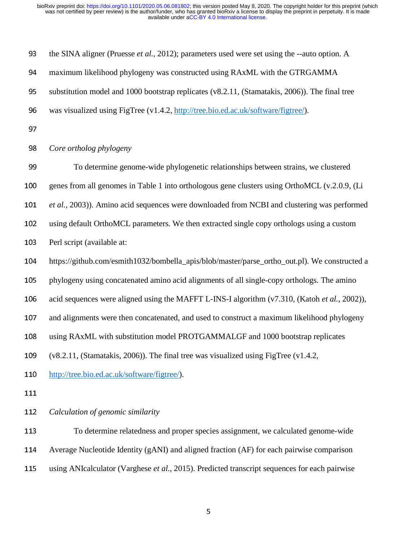| 93  | the SINA aligner (Pruesse et al., 2012); parameters used were set using the --auto option. A   |
|-----|------------------------------------------------------------------------------------------------|
| 94  | maximum likelihood phylogeny was constructed using RAxML with the GTRGAMMA                     |
| 95  | substitution model and 1000 bootstrap replicates (v8.2.11, (Stamatakis, 2006)). The final tree |
| 96  | was visualized using FigTree (v1.4.2, http://tree.bio.ed.ac.uk/software/figtree/).             |
| 97  |                                                                                                |
| 98  | Core ortholog phylogeny                                                                        |
| 99  | To determine genome-wide phylogenetic relationships between strains, we clustered              |
| 100 | genes from all genomes in Table 1 into orthologous gene clusters using OrthoMCL (v.2.0.9, (Li  |
| 101 | et al., 2003)). Amino acid sequences were downloaded from NCBI and clustering was performed    |
| 102 | using default OrthoMCL parameters. We then extracted single copy orthologs using a custom      |
| 103 | Perl script (available at:                                                                     |
| 104 | https://github.com/esmith1032/bombella_apis/blob/master/parse_ortho_out.pl). We constructed a  |
| 105 | phylogeny using concatenated amino acid alignments of all single-copy orthologs. The amino     |
| 106 | acid sequences were aligned using the MAFFT L-INS-I algorithm (v7.310, (Katoh et al., 2002)),  |
| 107 | and alignments were then concatenated, and used to construct a maximum likelihood phylogeny    |
| 108 | using RAxML with substitution model PROTGAMMALGF and 1000 bootstrap replicates                 |
| 109 | $(v8.2.11, (Stamatakis, 2006))$ . The final tree was visualized using FigTree $(v1.4.2, )$     |
| 110 | http://tree.bio.ed.ac.uk/software/figtree/).                                                   |
| 111 |                                                                                                |
| 112 | Calculation of genomic similarity                                                              |
| 113 | To determine relatedness and proper species assignment, we calculated genome-wide              |
| 114 | Average Nucleotide Identity (gANI) and aligned fraction (AF) for each pairwise comparison      |
|     |                                                                                                |

115 using ANIcalculator (Varghese *et al.*, 2015). Predicted transcript sequences for each pairwise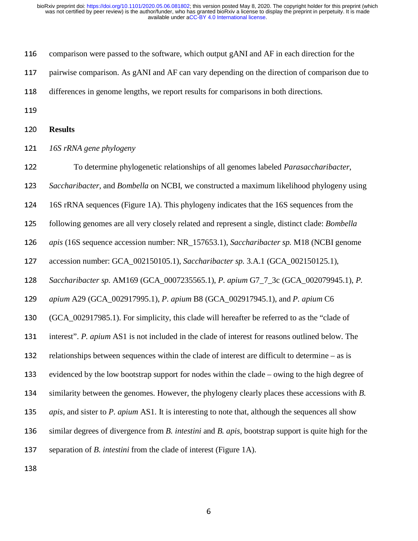| 116 | comparison were passed to the software, which output gANI and AF in each direction for the                       |
|-----|------------------------------------------------------------------------------------------------------------------|
| 117 | pairwise comparison. As gANI and AF can vary depending on the direction of comparison due to                     |
| 118 | differences in genome lengths, we report results for comparisons in both directions.                             |
| 119 |                                                                                                                  |
| 120 | <b>Results</b>                                                                                                   |
| 121 | 16S rRNA gene phylogeny                                                                                          |
| 122 | To determine phylogenetic relationships of all genomes labeled Parasaccharibacter,                               |
| 123 | Saccharibacter, and Bombella on NCBI, we constructed a maximum likelihood phylogeny using                        |
| 124 | 16S rRNA sequences (Figure 1A). This phylogeny indicates that the 16S sequences from the                         |
| 125 | following genomes are all very closely related and represent a single, distinct clade: <i>Bombella</i>           |
| 126 | apis (16S sequence accession number: NR_157653.1), Saccharibacter sp. M18 (NCBI genome                           |
| 127 | accession number: GCA_002150105.1), Saccharibacter sp. 3.A.1 (GCA_002150125.1),                                  |
| 128 | Saccharibacter sp. AM169 (GCA_0007235565.1), P. apium G7_7_3c (GCA_002079945.1), P.                              |
| 129 | apium A29 (GCA_002917995.1), P. apium B8 (GCA_002917945.1), and P. apium C6                                      |
| 130 | (GCA_002917985.1). For simplicity, this clade will hereafter be referred to as the "clade of                     |
| 131 | interest". P. apium AS1 is not included in the clade of interest for reasons outlined below. The                 |
| 132 | relationships between sequences within the clade of interest are difficult to determine – as is                  |
| 133 | evidenced by the low bootstrap support for nodes within the clade – owing to the high degree of                  |
| 134 | similarity between the genomes. However, the phylogeny clearly places these accessions with B.                   |
| 135 | <i>apis</i> , and sister to P. <i>apium</i> AS1. It is interesting to note that, although the sequences all show |
| 136 | similar degrees of divergence from B. intestini and B. apis, bootstrap support is quite high for the             |
| 137 | separation of <i>B. intestini</i> from the clade of interest (Figure 1A).                                        |

138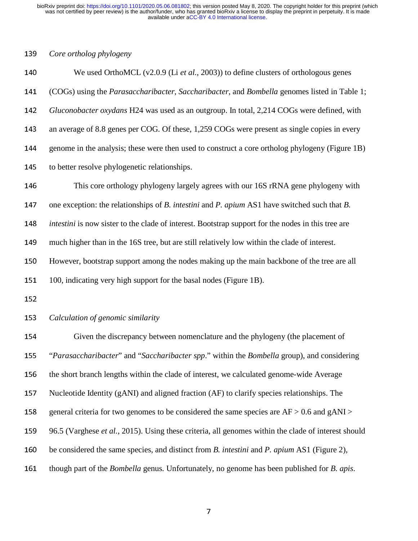#### <sup>139</sup>*Core ortholog phylogeny*

<sup>140</sup>We used OrthoMCL (v2.0.9 (Li *et al.*, 2003)) to define clusters of orthologous genes <sup>141</sup>(COGs) using the *Parasaccharibacter*, *Saccharibacter*, and *Bombella* genomes listed in Table 1; <sup>142</sup>*Gluconobacter oxydans* H24 was used as an outgroup. In total, 2,214 COGs were defined, with 143 an average of 8.8 genes per COG. Of these, 1,259 COGs were present as single copies in every 144 genome in the analysis; these were then used to construct a core ortholog phylogeny (Figure 1B) 145 to better resolve phylogenetic relationships. 146 This core orthology phylogeny largely agrees with our 16S rRNA gene phylogeny with 147 one exception: the relationships of *B. intestini* and *P. apium* AS1 have switched such that *B.* <sup>148</sup>*intestini* is now sister to the clade of interest. Bootstrap support for the nodes in this tree are 149 much higher than in the 16S tree, but are still relatively low within the clade of interest.

150 However, bootstrap support among the nodes making up the main backbone of the tree are all

151 100, indicating very high support for the basal nodes (Figure 1B).

152

<sup>153</sup>*Calculation of genomic similarity* 

Given the discrepancy between nomenclature and the phylogeny (the placement of "*Parasaccharibacter*" and "*Saccharibacter spp*." within the *Bombella* group), and considering 156 the short branch lengths within the clade of interest, we calculated genome-wide Average 157 Nucleotide Identity (gANI) and aligned fraction (AF) to clarify species relationships. The 158 general criteria for two genomes to be considered the same species are  $AF > 0.6$  and gANI  $>$ 96.5 (Varghese *et al.*, 2015). Using these criteria, all genomes within the clade of interest should be considered the same species, and distinct from *B. intestini* and *P. apium* AS1 (Figure 2), though part of the *Bombella* genus*.* Unfortunately, no genome has been published for *B. apis*.

**77 August 2014**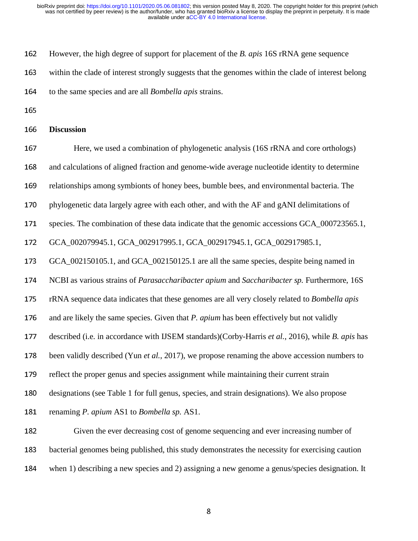162 However, the high degree of support for placement of the *B. apis* 16S rRNA gene sequence

163 within the clade of interest strongly suggests that the genomes within the clade of interest belong

<sup>164</sup>to the same species and are all *Bombella apis* strains.

165

#### <sup>166</sup>**Discussion**

167 Here, we used a combination of phylogenetic analysis (16S rRNA and core orthologs)

168 and calculations of aligned fraction and genome-wide average nucleotide identity to determine

169 relationships among symbionts of honey bees, bumble bees, and environmental bacteria. The

170 phylogenetic data largely agree with each other, and with the AF and gANI delimitations of

171 species. The combination of these data indicate that the genomic accessions GCA\_000723565.1,

<sup>172</sup>GCA\_002079945.1, GCA\_002917995.1, GCA\_002917945.1, GCA\_002917985.1,

<sup>173</sup>GCA\_002150105.1, and GCA\_002150125.1 are all the same species, despite being named in

174 NCBI as various strains of *Parasaccharibacter apium* and *Saccharibacter sp.* Furthermore, 16S

<sup>175</sup>rRNA sequence data indicates that these genomes are all very closely related to *Bombella apis* 

176 and are likely the same species. Given that *P. apium* has been effectively but not validly

<sup>177</sup>described (i.e. in accordance with IJSEM standards)(Corby-Harris *et al.*, 2016), while *B. apis* has

178 been validly described (Yun *et al.*, 2017), we propose renaming the above accession numbers to

179 reflect the proper genus and species assignment while maintaining their current strain

180 designations (see Table 1 for full genus, species, and strain designations). We also propose

<sup>181</sup>renaming *P. apium* AS1 to *Bombella sp.* AS1.

182 Given the ever decreasing cost of genome sequencing and ever increasing number of 183 bacterial genomes being published, this study demonstrates the necessity for exercising caution 184 when 1) describing a new species and 2) assigning a new genome a genus/species designation. It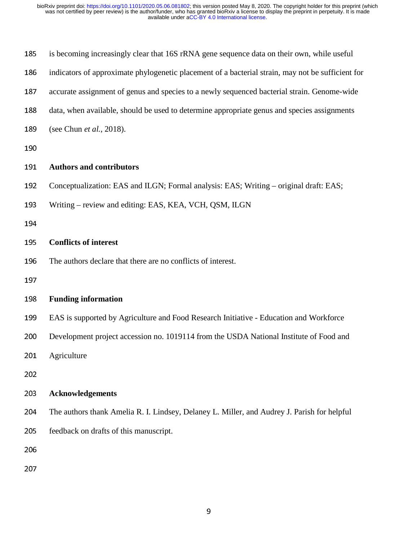| 185 | is becoming increasingly clear that 16S rRNA gene sequence data on their own, while useful        |
|-----|---------------------------------------------------------------------------------------------------|
| 186 | indicators of approximate phylogenetic placement of a bacterial strain, may not be sufficient for |
| 187 | accurate assignment of genus and species to a newly sequenced bacterial strain. Genome-wide       |
| 188 | data, when available, should be used to determine appropriate genus and species assignments       |
| 189 | (see Chun et al., 2018).                                                                          |
| 190 |                                                                                                   |
| 191 | <b>Authors and contributors</b>                                                                   |
| 192 | Conceptualization: EAS and ILGN; Formal analysis: EAS; Writing – original draft: EAS;             |
| 193 | Writing - review and editing: EAS, KEA, VCH, QSM, ILGN                                            |
| 194 |                                                                                                   |
| 195 | <b>Conflicts of interest</b>                                                                      |
| 196 | The authors declare that there are no conflicts of interest.                                      |
| 197 |                                                                                                   |
| 198 | <b>Funding information</b>                                                                        |
| 199 | EAS is supported by Agriculture and Food Research Initiative - Education and Workforce            |
| 200 | Development project accession no. 1019114 from the USDA National Institute of Food and            |
| 201 | Agriculture                                                                                       |
| 202 |                                                                                                   |
| 203 | <b>Acknowledgements</b>                                                                           |
| 204 | The authors thank Amelia R. I. Lindsey, Delaney L. Miller, and Audrey J. Parish for helpful       |
| 205 | feedback on drafts of this manuscript.                                                            |
| 206 |                                                                                                   |
| 207 |                                                                                                   |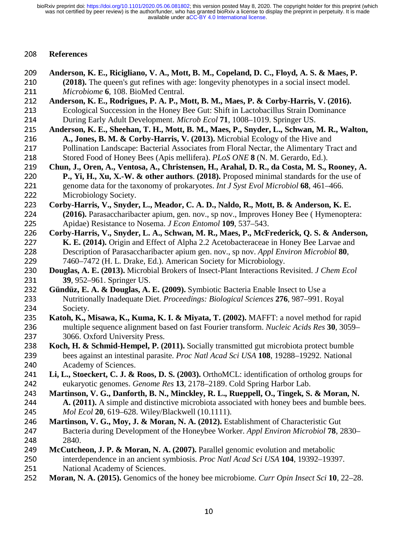### <sup>208</sup>**References**

- 209 Anderson, K. E., Ricigliano, V. A., Mott, B. M., Copeland, D. C., Floyd, A. S. & Maes, P.<br>210 (2018). The queen's gut refines with age: longevity phenotypes in a social insect model. 210 (2018). The queen's gut refines with age: longevity phenotypes in a social insect model.<br>211 *Microbiome* 6, 108. BioMed Central. 211 *Microbiome* 6, 108. BioMed Central.<br>212 **Anderson, K. E., Rodrigues, P. A. P., M**
- 212 **Anderson, K. E., Rodrigues, P. A. P., Mott, B. M., Maes, P. & Corby-Harris, V. (2016).**<br>213 Ecological Succession in the Honey Bee Gut: Shift in Lactobacillus Strain Dominance 213 Ecological Succession in the Honey Bee Gut: Shift in Lactobacillus Strain Dominance<br>214 During Early Adult Development. *Microb Ecol* **71**, 1008–1019. Springer US.
- 214 During Early Adult Development. *Microb Ecol* **71**, 1008–1019. Springer US.<br>215 Anderson, K. E., Sheehan, T. H., Mott, B. M., Maes, P., Snyder, L., Schwan, l 215 Anderson, K. E., Sheehan, T. H., Mott, B. M., Maes, P., Snyder, L., Schwan, M. R., Walton, 216 **A., Jones, B. M. & Corby-Harris, V. (2013)**. Microbial Ecology of the Hive and 216 **A., Jones, B. M. & Corby-Harris, V. (2013).** Microbial Ecology of the Hive and 217 Pollination Landscape: Bacterial Associates from Floral Nectar, the Alimentary Tr 217 Pollination Landscape: Bacterial Associates from Floral Nectar, the Alimentary Tract and<br>218 Stored Food of Honey Bees (Apis mellifera). *PLoS ONE* 8 (N. M. Gerardo, Ed.).
- 218 Stored Food of Honey Bees (Apis mellifera). *PLoS ONE* 8 (N. M. Gerardo, Ed.).<br>219 Chun, J., Oren, A., Ventosa, A., Christensen, H., Arahal, D. R., da Costa, M. S., 219 Chun, J., Oren, A., Ventosa, A., Christensen, H., Arahal, D. R., da Costa, M. S., Rooney, A. 220 P., Yi, H., Xu, X.-W. & other authors. (2018). Proposed minimal standards for the use of 220 **P., Yi, H., Xu, X.-W. & other authors**. **(2018).** Proposed minimal standards for the use of genome data for the taxonomy of prokaryotes. *Int J Syst Evol Microbiol* **68**. 461–466. 221 genome data for the taxonomy of prokaryotes. *Int J Syst Evol Microbiol* **68**, 461–466.<br>222 Microbiology Society. 222 Microbiology Society.<br>223 **Corby-Harris, V., Snyder**
- 223 Corby-Harris, V., Snyder, L., Meador, C. A. D., Naldo, R., Mott, B. & Anderson, K. E.<br>224 (2016). Parasaccharibacter apium, gen. nov., sp nov., Improves Honey Bee (Hymenopte 224 (2016). Parasaccharibacter apium, gen. nov., sp nov., Improves Honey Bee ( Hymenoptera:<br>225 Apidae) Resistance to Nosema. *J Econ Entomol* 109, 537–543.
- 225 Apidae) Resistance to Nosema. *J Econ Entomol* 109, 537–543.<br>226 Corby-Harris, V., Snyder, L. A., Schwan, M. R., Maes, P., McF 226 Corby-Harris, V., Snyder, L. A., Schwan, M. R., Maes, P., McFrederick, Q. S. & Anderson, <br>227 K. E. (2014). Origin and Effect of Alpha 2.2 Acetobacteraceae in Honey Bee Larvae and **K. E. (2014).** Origin and Effect of Alpha 2.2 Acetobacteraceae in Honey Bee Larvae and<br>228 Description of Parasaccharibacter apium gen. nov., sp nov. Appl Environ Microbiol **80**, 228 Description of Parasaccharibacter apium gen. nov., sp nov. *Appl Environ Microbiol* **80**,<br>229 7460–7472 (H. L. Drake, Ed.). American Society for Microbiology.
- 229 7460–7472 (H. L. Drake, Ed.). American Society for Microbiology.<br>230 **Douglas, A. E. (2013).** Microbial Brokers of Insect-Plant Interactions Re <sup>230</sup>**Douglas, A. E. (2013).** Microbial Brokers of Insect-Plant Interactions Revisited. *J Chem Ecol* 231 **39, 952–961. Springer US.**<br>232 **Ciindiiz E. A. & Douglas A**
- <sup>232</sup>**Gündüz, E. A. & Douglas, A. E. (2009).** Symbiotic Bacteria Enable Insect to Use a 233 Nutritionally Inadequate Diet. *Proceedings: Biological Sciences* 276, 987–991. Royal<br>234 Society. 234 Society.<br>235 Katob K N
- <sup>235</sup>**Katoh, K., Misawa, K., Kuma, K. I. & Miyata, T. (2002).** MAFFT: a novel method for rapid 236 multiple sequence alignment based on fast Fourier transform. *Nucleic Acids Res* 30, 3059–<br>237 3066. Oxford University Press. 237 3066. Oxford University Press.<br>238 Koch, H. & Schmid-Hempel, P. (2
- **Koch, H. & Schmid-Hempel, P. (2011).** Socially transmitted gut microbiota protect bumble<br>239 bees against an intestinal parasite. *Proc Natl Acad Sci USA* 108, 19288–19292. National 239 bees against an intestinal parasite. *Proc Natl Acad Sci USA* **108**, 19288–19292. National Acad Sci USA **108**, 19288–19292. National 240 Academy of Sciences.<br>241 **Li, L., Stoeckert, C. J. &**
- 241 Li, L., Stoeckert, C. J. & Roos, D. S. (2003). OrthoMCL: identification of ortholog groups for eukaryotic genomes. *Genome Res* 13, 2178–2189. Cold Spring Harbor Lab. eukaryotic genomes. *Genome Res* 13, 2178–2189. Cold Spring Harbor Lab.<br>243 **Martinson, V. G., Danforth, B. N., Minckley, R. L., Rueppell, O., Tingek, S.**
- 243 Martinson, V. G., Danforth, B. N., Minckley, R. L., Rueppell, O., Tingek, S. & Moran, N. 244 A. (2011). A simple and distinctive microbiota associated with honey bees and bumble bee 244 **A.** (2011). A simple and distinctive microbiota associated with honey bees and bumble bees.<br>245 *Mol Ecol* 20, 619–628. Wiley/Blackwell (10.1111).
- <sup>245</sup>*Mol Ecol* **<sup>20</sup>**, 619–628. Wiley/Blackwell (10.1111). 246 **Martinson, V. G., Moy, J. & Moran, N. A. (2012).** Establishment of Characteristic Gut Bacteria during Development of the Honeybee Worker. Appl Environ Microbiol 78, 2 <sup>247</sup>Bacteria during Development of the Honeybee Worker. *Appl Environ Microbiol* **<sup>78</sup>**, 2830–
- <sup>248</sup>2840. <sup>249</sup>**McCutcheon, J. P. & Moran, N. A. (2007).** Parallel genomic evolution and metabolic
- 250 interdependence in an ancient symbiosis. *Proc Natl Acad Sci USA* **104**, 19392–19397.<br>251 National Academy of Sciences.
- 251 National Academy of Sciences.<br>252 **Moran, N. A. (2015).** Genomics of <sup>252</sup>**Moran, N. A. (2015).** Genomics of the honey bee microbiome. *Curr Opin Insect Sci* **<sup>10</sup>**, 22–28.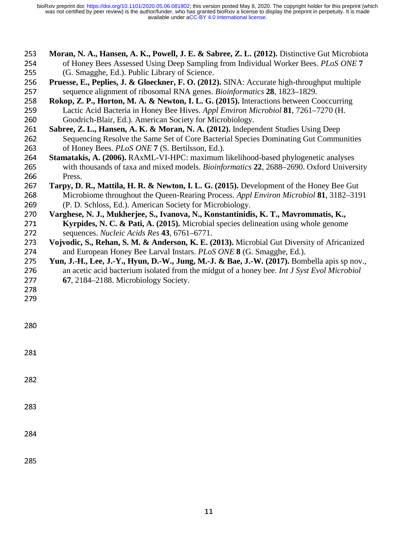- 253 **Moran, N. A., Hansen, A. K., Powell, J. E. & Sabree, Z. L. (2012).** Distinctive Gut Microbiota of Honey Bees Assessed Using Deep Sampling from Individual Worker Bees. *PLoS ONE* 7 254 of Honey Bees Assessed Using Deep Sampling from Individual Worker Bees. *PLoS ONE* 7<br>255 (G. Smagghe, Ed.). Public Library of Science.
- 255 (G. Smagghe, Ed.). Public Library of Science.<br>256 Pruesse, E., Peplies, J. & Gloeckner, F. O. (2012 256 **Pruesse, E., Peplies, J. & Gloeckner, F. O.** (2012). SINA: Accurate high-throughput multiple sequence alignment of ribosomal RNA genes. *Bioinformatics* 28, 1823–1829.
- 257 sequence alignment of ribosomal RNA genes. *Bioinformatics* **28**, 1823–1829.<br>258 **Rokop, Z. P., Horton, M. A. & Newton, I. L. G. (2015). Interactions between Co** 258 **Rokop, Z. P., Horton, M. A. & Newton, I. L. G. (2015).** Interactions between Cooccurring<br>259 Lactic Acid Bacteria in Honey Bee Hives. Appl Environ Microbiol 81, 7261–7270 (H.
- 259 Lactic Acid Bacteria in Honey Bee Hives. *Appl Environ Microbiol* **81**, 7261–7270 (H. 260 Goodrich-Blair, Ed.). American Society for Microbiology. 260 Goodrich-Blair, Ed.). American Society for Microbiology.<br>261 Sabree, Z. L., Hansen, A. K. & Moran, N. A. (2012). Independent
- 261 **Sabree, Z. L., Hansen, A. K. & Moran, N. A. (2012).** Independent Studies Using Deep<br>262 Sequencing Resolve the Same Set of Core Bacterial Species Dominating Gut Commu 262 Sequencing Resolve the Same Set of Core Bacterial Species Dominating Gut Communities<br>263 of Honey Bees, *PLoS ONE* 7 (S. Bertilsson, Ed.).
- 263 of Honey Bees. *PLoS ONE* 7 (S. Bertilsson, Ed.).<br>264 **Stamatakis, A. (2006).** RAxML-VI-HPC: maximum 264 **Stamatakis, A. (2006).** RAxML-VI-HPC: maximum likelihood-based phylogenetic analyses<br>265 with thousands of taxa and mixed models. *Bioinformatics* 22, 2688–2690. Oxford Univers 265 with thousands of taxa and mixed models. *Bioinformatics* 22, 2688–2690. Oxford University<br>266 Press. 266 Press.<br>267 Tarny D
- <sup>267</sup>**Tarpy, D. R., Mattila, H. R. & Newton, I. L. G. (2015).** Development of the Honey Bee Gut 268 Microbiome throughout the Queen-Rearing Process. *Appl Environ Microbiol* **81**, 3182–3191<br>269 (P. D. Schloss, Ed.). American Society for Microbiology. 269 (P. D. Schloss, Ed.). American Society for Microbiology.<br>270 Varghese, N. J., Mukherjee, S., Ivanova, N., Konstantinidi
- <sup>270</sup>**Varghese, N. J., Mukherjee, S., Ivanova, N., Konstantinidis, K. T., Mavrommatis, K.,**  271 **Kyrpides, N. C. & Pati, A. (2015).** Microbial species delineation using whole genome sequences. *Nucleic Acids Res* 43, 6761–6771. 272 sequences. *Nucleic Acids Res* 43, 6761–6771.<br>273 Voivodic, S., Rehan, S. M. & Anderson, K. E. (2
- 273 Vojvodic, S., Rehan, S. M. & Anderson, K. E. (2013). Microbial Gut Diversity of Africanized<br>274 and European Honey Bee Larval Instars. *PLoS ONE* 8 (G. Smagghe, Ed.). 274 and European Honey Bee Larval Instars. *PLoS ONE* 8 (G. Smagghe, Ed.).<br>275 Yun, J.-H., Lee, J.-Y., Hyun, D.-W., Jung, M.-J. & Bae, J.-W. (2017). Bom
- **Yun, J.-H., Lee, J.-Y., Hyun, D.-W., Jung, M.-J. & Bae, J.-W. (2017).** Bombella apis sp nov., an acetic acid bacterium isolated from the midgut of a honey bee. *Int J Syst Evol Microbiol* 276 an acetic acid bacterium isolated from the midgut of a honey bee. *Int J Syst Evol Microbiol* 277 **67**, 2184–2188. Microbiology Society. <sup>277</sup>**67**, 2184–2188. Microbiology Society.
- 278

283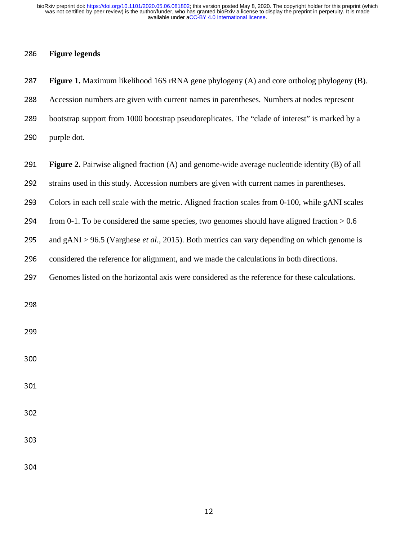<sup>287</sup>**Figure 1.** Maximum likelihood 16S rRNA gene phylogeny (A) and core ortholog phylogeny (B).

## <sup>286</sup>**Figure legends**

| 288 | Accession numbers are given with current names in parentheses. Numbers at nodes represent             |
|-----|-------------------------------------------------------------------------------------------------------|
| 289 | bootstrap support from 1000 bootstrap pseudoreplicates. The "clade of interest" is marked by a        |
| 290 | purple dot.                                                                                           |
| 291 | <b>Figure 2.</b> Pairwise aligned fraction (A) and genome-wide average nucleotide identity (B) of all |
| 292 | strains used in this study. Accession numbers are given with current names in parentheses.            |
| 293 | Colors in each cell scale with the metric. Aligned fraction scales from 0-100, while gANI scales      |
| 294 | from 0-1. To be considered the same species, two genomes should have aligned fraction $> 0.6$         |
| 295 | and $gANI > 96.5$ (Varghese <i>et al.</i> , 2015). Both metrics can vary depending on which genome is |
| 296 | considered the reference for alignment, and we made the calculations in both directions.              |
| 297 | Genomes listed on the horizontal axis were considered as the reference for these calculations.        |
|     |                                                                                                       |
| 298 |                                                                                                       |
| 299 |                                                                                                       |
| 300 |                                                                                                       |
|     |                                                                                                       |
| 301 |                                                                                                       |
| 302 |                                                                                                       |
|     |                                                                                                       |
| 303 |                                                                                                       |
| 304 |                                                                                                       |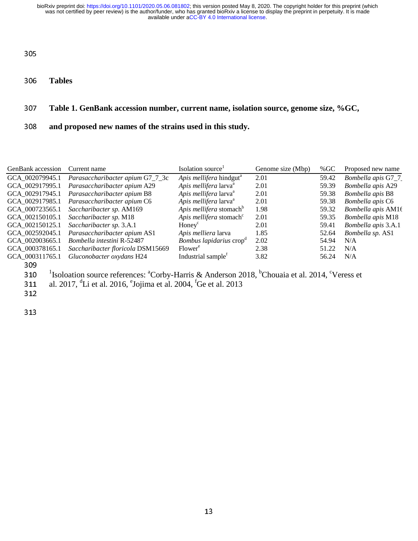<sup>306</sup>**Tables** 

## <sup>307</sup>**Table 1. GenBank accession number, current name, isolation source, genome size, %GC,**

<sup>308</sup>**and proposed new names of the strains used in this study.**

| <b>GenBank</b> accession | Current name                                                                                                                                   | Isolation source <sup>1</sup>       | Genome size (Mbp) | % $GC$ | Proposed new name   |
|--------------------------|------------------------------------------------------------------------------------------------------------------------------------------------|-------------------------------------|-------------------|--------|---------------------|
| GCA 002079945.1          | Parasaccharibacter apium G7_7_3c                                                                                                               | Apis mellifera hindgut <sup>a</sup> | 2.01              | 59.42  | Bombella apis G7_7  |
| GCA 002917995.1          | Parasaccharibacter apium A29                                                                                                                   | Apis mellifera larva <sup>a</sup>   | 2.01              | 59.39  | Bombella apis A29   |
| GCA 002917945.1          | Parasaccharibacter apium B8                                                                                                                    | Apis mellifera larva <sup>a</sup>   | 2.01              | 59.38  | Bombella apis B8    |
| GCA 002917985.1          | Parasaccharibacter apium C6                                                                                                                    | Apis mellifera larva <sup>a</sup>   | 2.01              | 59.38  | Bombella apis C6    |
| GCA 000723565.1          | Saccharibacter sp. AM169                                                                                                                       | Apis mellifera stomach <sup>b</sup> | 1.98              | 59.32  | Bombella apis AM16  |
| GCA 002150105.1          | Saccharibacter sp. M18                                                                                                                         | Apis mellifera stomach <sup>c</sup> | 2.01              | 59.35  | Bombella apis M18   |
| GCA 002150125.1          | Saccharibacter sp. 3.A.1                                                                                                                       | Honey <sup>c</sup>                  | 2.01              | 59.41  | Bombella apis 3.A.1 |
| GCA 002592045.1          | Parasaccharibacter apium AS1                                                                                                                   | Apis melliera larva                 | 1.85              | 52.64  | Bombella sp. AS1    |
| GCA 002003665.1          | Bombella intestini R-52487                                                                                                                     | Bombus lapidarius crop <sup>d</sup> | 2.02              | 54.94  | N/A                 |
| GCA 000378165.1          | Saccharibacter floricola DSM15669                                                                                                              | Flower <sup>e</sup>                 | 2.38              | 51.22  | N/A                 |
| GCA 000311765.1          | Gluconobacter oxydans H24                                                                                                                      | Industrial sample <sup>f</sup>      | 3.82              | 56.24  | N/A                 |
| 309                      |                                                                                                                                                |                                     |                   |        |                     |
| 310                      | <sup>1</sup> Isoloation source references: <sup>a</sup> Corby-Harris & Anderson 2018, <sup>b</sup> Chouaia et al. 2014, <sup>c</sup> Veress et |                                     |                   |        |                     |
| 311                      | al. 2017, <sup>d</sup> Li et al. 2016, <sup>e</sup> Jojima et al. 2004, <sup>f</sup> Ge et al. 2013                                            |                                     |                   |        |                     |
| 312                      |                                                                                                                                                |                                     |                   |        |                     |

313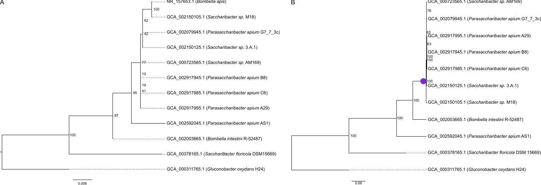

A